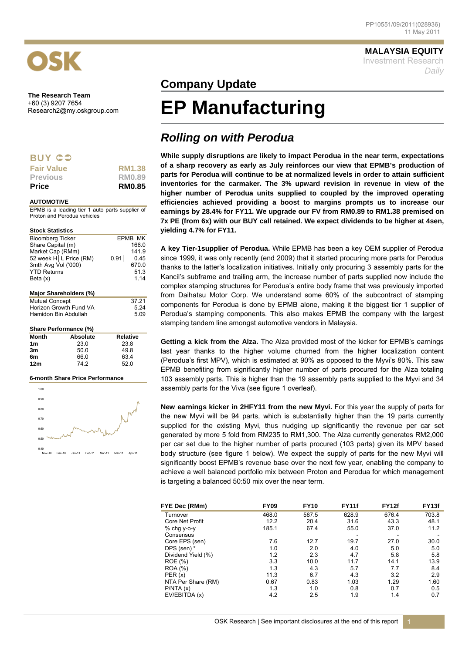

**The Research Team**  +60 (3) 9207 7654

## **BUY CO**

| <b>Price</b>      | <b>RM0.85</b> |
|-------------------|---------------|
| <b>Previous</b>   | RM0.89        |
| <b>Fair Value</b> | <b>RM1.38</b> |

#### **AUTOMOTIVE**

EPMB is a leading tier 1 auto parts supplier of Proton and Perodua vehicles

#### **Stock Statistics**

| <b>Bloomberg Ticker</b><br>Share Capital (m)<br>Market Cap (RMm)<br>3mth Avg Vol ('000)<br><b>YTD Returns</b><br>Beta (x) | 52 week H L Price (RM)       | EPMB MK<br>166.0<br>141.9<br>0.91<br>0.45<br>670.0<br>51.3<br>1.14 |
|---------------------------------------------------------------------------------------------------------------------------|------------------------------|--------------------------------------------------------------------|
|                                                                                                                           | Major Shareholders (%)       |                                                                    |
| <b>Mutual Concept</b><br>Hamidon Bin Abdullah                                                                             | Horizon Growth Fund VA       | 37.21<br>5.24<br>5.09                                              |
|                                                                                                                           | <b>Share Performance (%)</b> |                                                                    |
| <b>Month</b>                                                                                                              | <b>Absolute</b>              | <b>Relative</b>                                                    |
| 1m                                                                                                                        | 23.0                         | 23.8                                                               |
| 3m                                                                                                                        | 50.0                         | 49.8                                                               |

| 6m  | 66.0 | 63.4 |
|-----|------|------|
| 12m | 74.2 | 52.0 |
|     |      |      |

#### **6-month Share Price Performance**



### **MALAYSIA EQUITY**

Investment Research *Daily*

# **Company Update**

# Research2@my.oskgroup.com **EP Manufacturing**

# *Rolling on with Perodua*

**While supply disruptions are likely to impact Perodua in the near term, expectations of a sharp recovery as early as July reinforces our view that EPMB's production of parts for Perodua will continue to be at normalized levels in order to attain sufficient inventories for the carmaker. The 3% upward revision in revenue in view of the higher number of Perodua units supplied to coupled by the improved operating efficiencies achieved providing a boost to margins prompts us to increase our earnings by 28.4% for FY11. We upgrade our FV from RM0.89 to RM1.38 premised on 7x PE (from 6x) with our BUY call retained. We expect dividends to be higher at 4sen, yielding 4.7% for FY11.** 

**A key Tier-1supplier of Perodua.** While EPMB has been a key OEM supplier of Perodua since 1999, it was only recently (end 2009) that it started procuring more parts for Perodua thanks to the latter's localization initiatives. Initially only procuring 3 assembly parts for the Kancil's subframe and trailing arm, the increase number of parts supplied now include the complex stamping structures for Perodua's entire body frame that was previously imported from Daihatsu Motor Corp. We understand some 60% of the subcontract of stamping components for Perodua is done by EPMB alone, making it the biggest tier 1 supplier of Perodua's stamping components. This also makes EPMB the company with the largest stamping tandem line amongst automotive vendors in Malaysia.

**Getting a kick from the Alza.** The Alza provided most of the kicker for EPMB's earnings last year thanks to the higher volume churned from the higher localization content (Perodua's first MPV), which is estimated at 90% as opposed to the Myvi's 80%. This saw EPMB benefiting from significantly higher number of parts procured for the Alza totaling 103 assembly parts. This is higher than the 19 assembly parts supplied to the Myvi and 34 assembly parts for the Viva (see figure 1 overleaf).

**New earnings kicker in 2HFY11 from the new Myvi.** For this year the supply of parts for the new Myvi will be 94 parts, which is substantially higher than the 19 parts currently supplied for the existing Myvi, thus nudging up significantly the revenue per car set generated by more 5 fold from RM235 to RM1,300. The Alza currently generates RM2,000 per car set due to the higher number of parts procured (103 parts) given its MPV based body structure (see figure 1 below). We expect the supply of parts for the new Myvi will significantly boost EPMB's revenue base over the next few year, enabling the company to achieve a well balanced portfolio mix between Proton and Perodua for which management is targeting a balanced 50:50 mix over the near term.

| FYE Dec (RMm)          | <b>FY09</b> | <b>FY10</b> | <b>FY11f</b> | <b>FY12f</b> | FY <sub>13f</sub> |
|------------------------|-------------|-------------|--------------|--------------|-------------------|
| Turnover               | 468.0       | 587.5       | 628.9        | 676.4        | 703.8             |
| <b>Core Net Profit</b> | 12.2        | 20.4        | 31.6         | 43.3         | 48.1              |
| $%$ chg y-o-y          | 185.1       | 67.4        | 55.0         | 37.0         | 11.2              |
| Consensus              |             |             |              |              |                   |
| Core EPS (sen)         | 7.6         | 12.7        | 19.7         | 27.0         | 30.0              |
| DPS (sen) *            | 1.0         | 2.0         | 4.0          | 5.0          | 5.0               |
| Dividend Yield (%)     | 1.2         | 2.3         | 4.7          | 5.8          | 5.8               |
| <b>ROE</b> (%)         | 3.3         | 10.0        | 11.7         | 14.1         | 13.9              |
| <b>ROA</b> (%)         | 1.3         | 4.3         | 5.7          | 7.7          | 8.4               |
| PER(x)                 | 11.3        | 6.7         | 4.3          | 3.2          | 2.9               |
| NTA Per Share (RM)     | 0.67        | 0.83        | 1.03         | 1.29         | 1.60              |
| P/NTA(x)               | 1.3         | 1.0         | 0.8          | 0.7          | 0.5               |
| EV/EBITDA (x)          | 4.2         | 2.5         | 1.9          | 1.4          | 0.7               |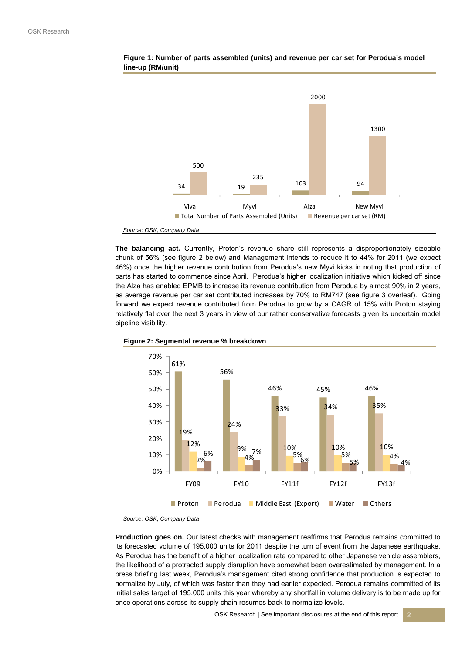

### **Figure 1: Number of parts assembled (units) and revenue per car set for Perodua's model line-up (RM/unit)**

**The balancing act.** Currently, Proton's revenue share still represents a disproportionately sizeable chunk of 56% (see figure 2 below) and Management intends to reduce it to 44% for 2011 (we expect 46%) once the higher revenue contribution from Perodua's new Myvi kicks in noting that production of parts has started to commence since April. Perodua's higher localization initiative which kicked off since the Alza has enabled EPMB to increase its revenue contribution from Perodua by almost 90% in 2 years, as average revenue per car set contributed increases by 70% to RM747 (see figure 3 overleaf). Going forward we expect revenue contributed from Perodua to grow by a CAGR of 15% with Proton staying relatively flat over the next 3 years in view of our rather conservative forecasts given its uncertain model pipeline visibility.





*Source: OSK, Company Data*

**Production goes on.** Our latest checks with management reaffirms that Perodua remains committed to its forecasted volume of 195,000 units for 2011 despite the turn of event from the Japanese earthquake. As Perodua has the benefit of a higher localization rate compared to other Japanese vehicle assemblers, the likelihood of a protracted supply disruption have somewhat been overestimated by management. In a press briefing last week, Perodua's management cited strong confidence that production is expected to normalize by July, of which was faster than they had earlier expected. Perodua remains committed of its initial sales target of 195,000 units this year whereby any shortfall in volume delivery is to be made up for once operations across its supply chain resumes back to normalize levels.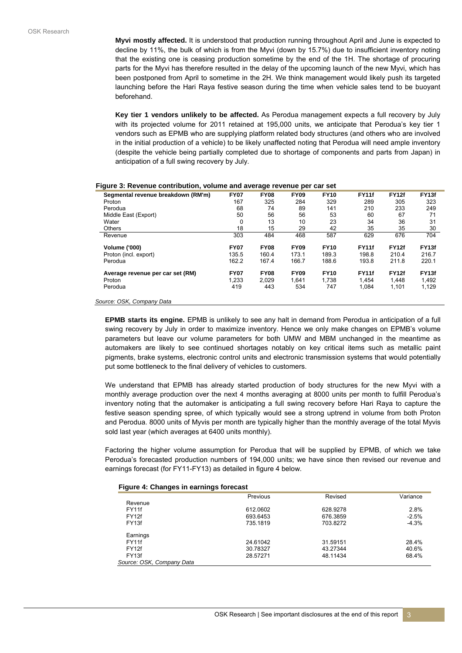**Myvi mostly affected.** It is understood that production running throughout April and June is expected to decline by 11%, the bulk of which is from the Myvi (down by 15.7%) due to insufficient inventory noting that the existing one is ceasing production sometime by the end of the 1H. The shortage of procuring parts for the Myvi has therefore resulted in the delay of the upcoming launch of the new Myvi, which has been postponed from April to sometime in the 2H. We think management would likely push its targeted launching before the Hari Raya festive season during the time when vehicle sales tend to be buoyant beforehand.

**Key tier 1 vendors unlikely to be affected.** As Perodua management expects a full recovery by July with its projected volume for 2011 retained at 195,000 units, we anticipate that Perodua's key tier 1 vendors such as EPMB who are supplying platform related body structures (and others who are involved in the initial production of a vehicle) to be likely unaffected noting that Perodua will need ample inventory (despite the vehicle being partially completed due to shortage of components and parts from Japan) in anticipation of a full swing recovery by July.

| Segmental revenue breakdown (RM'm)    | <b>FY07</b> | <b>FY08</b> | <b>FY09</b> | <b>FY10</b> | <b>FY11f</b> | <b>FY12f</b> | FY13f        |
|---------------------------------------|-------------|-------------|-------------|-------------|--------------|--------------|--------------|
| Proton                                | 167         | 325         | 284         | 329         | 289          | 305          | 323          |
| Perodua                               | 68          | 74          | 89          | 141         | 210          | 233          | 249          |
| Middle East (Export)                  | 50          | 56          | 56          | 53          | 60           | 67           | 71           |
| Water                                 | 0           | 13          | 10          | 23          | 34           | 36           | 31           |
| <b>Others</b>                         | 18          | 15          | 29          | 42          | 35           | 35           | 30           |
| Revenue                               | 303         | 484         | 468         | 587         | 629          | 676          | 704          |
| <b>Volume ('000)</b>                  | <b>FY07</b> | <b>FY08</b> | <b>FY09</b> | <b>FY10</b> | <b>FY11f</b> | <b>FY12f</b> | <b>FY13f</b> |
| Proton (incl. export)                 | 135.5       | 160.4       | 173.1       | 189.3       | 198.8        | 210.4        | 216.7        |
| Perodua                               | 162.2       | 167.4       | 166.7       | 188.6       | 193.8        | 211.8        | 220.1        |
| Average revenue per car set (RM)      | <b>FY07</b> | <b>FY08</b> | <b>FY09</b> | <b>FY10</b> | <b>FY11f</b> | <b>FY12f</b> | <b>FY13f</b> |
| Proton                                | 1.233       | 2.029       | 1.641       | 1.738       | 1.454        | 1.448        | 1,492        |
| Perodua                               | 419         | 443         | 534         | 747         | 1.084        | 1,101        | 1,129        |
| $\sim$ $\sim$ $\sim$<br>$\sim$ $\sim$ |             |             |             |             |              |              |              |

#### **Figure 3: Revenue contribution, volume and average revenue per car set**

*Source: OSK, Company Data*

**EPMB starts its engine.** EPMB is unlikely to see any halt in demand from Perodua in anticipation of a full swing recovery by July in order to maximize inventory. Hence we only make changes on EPMB's volume parameters but leave our volume parameters for both UMW and MBM unchanged in the meantime as automakers are likely to see continued shortages notably on key critical items such as metallic paint pigments, brake systems, electronic control units and electronic transmission systems that would potentially put some bottleneck to the final delivery of vehicles to customers.

We understand that EPMB has already started production of body structures for the new Myvi with a monthly average production over the next 4 months averaging at 8000 units per month to fulfill Perodua's inventory noting that the automaker is anticipating a full swing recovery before Hari Raya to capture the festive season spending spree, of which typically would see a strong uptrend in volume from both Proton and Perodua. 8000 units of Myvis per month are typically higher than the monthly average of the total Myvis sold last year (which averages at 6400 units monthly).

Factoring the higher volume assumption for Perodua that will be supplied by EPMB, of which we take Perodua's forecasted production numbers of 194,000 units; we have since then revised our revenue and earnings forecast (for FY11-FY13) as detailed in figure 4 below.

#### **Figure 4: Changes in earnings forecast**

|                           | Previous | Revised  | Variance |
|---------------------------|----------|----------|----------|
| Revenue                   |          |          |          |
| FY11f                     | 612.0602 | 628.9278 | 2.8%     |
| FY <sub>12f</sub>         | 693.6453 | 676.3859 | $-2.5%$  |
| FY <sub>13f</sub>         | 735.1819 | 703.8272 | $-4.3%$  |
| Earnings                  |          |          |          |
| FY11f                     | 24.61042 | 31.59151 | 28.4%    |
| FY <sub>12f</sub>         | 30.78327 | 43.27344 | 40.6%    |
| FY <sub>13f</sub>         | 28.57271 | 48.11434 | 68.4%    |
| Source: OSK, Company Data |          |          |          |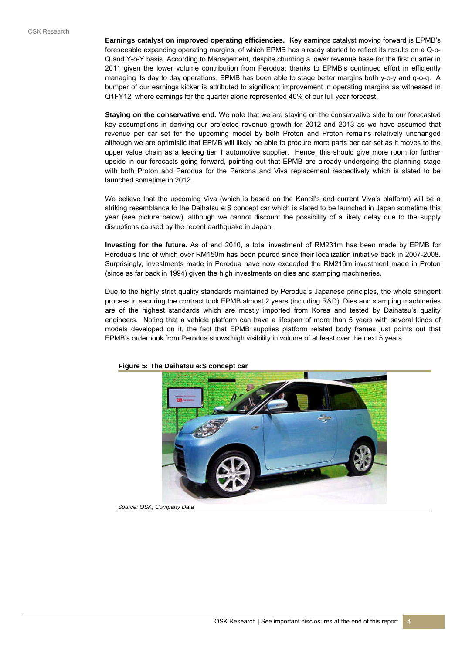**Earnings catalyst on improved operating efficiencies.** Key earnings catalyst moving forward is EPMB's foreseeable expanding operating margins, of which EPMB has already started to reflect its results on a Q-o-Q and Y-o-Y basis. According to Management, despite churning a lower revenue base for the first quarter in 2011 given the lower volume contribution from Perodua; thanks to EPMB's continued effort in efficiently managing its day to day operations, EPMB has been able to stage better margins both y-o-y and q-o-q. A bumper of our earnings kicker is attributed to significant improvement in operating margins as witnessed in Q1FY12, where earnings for the quarter alone represented 40% of our full year forecast.

**Staying on the conservative end.** We note that we are staying on the conservative side to our forecasted key assumptions in deriving our projected revenue growth for 2012 and 2013 as we have assumed that revenue per car set for the upcoming model by both Proton and Proton remains relatively unchanged although we are optimistic that EPMB will likely be able to procure more parts per car set as it moves to the upper value chain as a leading tier 1 automotive supplier. Hence, this should give more room for further upside in our forecasts going forward, pointing out that EPMB are already undergoing the planning stage with both Proton and Perodua for the Persona and Viva replacement respectively which is slated to be launched sometime in 2012.

We believe that the upcoming Viva (which is based on the Kancil's and current Viva's platform) will be a striking resemblance to the Daihatsu e:S concept car which is slated to be launched in Japan sometime this year (see picture below), although we cannot discount the possibility of a likely delay due to the supply disruptions caused by the recent earthquake in Japan.

**Investing for the future.** As of end 2010, a total investment of RM231m has been made by EPMB for Perodua's line of which over RM150m has been poured since their localization initiative back in 2007-2008. Surprisingly, investments made in Perodua have now exceeded the RM216m investment made in Proton (since as far back in 1994) given the high investments on dies and stamping machineries.

Due to the highly strict quality standards maintained by Perodua's Japanese principles, the whole stringent process in securing the contract took EPMB almost 2 years (including R&D). Dies and stamping machineries are of the highest standards which are mostly imported from Korea and tested by Daihatsu's quality engineers. Noting that a vehicle platform can have a lifespan of more than 5 years with several kinds of models developed on it, the fact that EPMB supplies platform related body frames just points out that EPMB's orderbook from Perodua shows high visibility in volume of at least over the next 5 years.



**Figure 5: The Daihatsu e:S concept car** 

*Source: OSK, Company Data*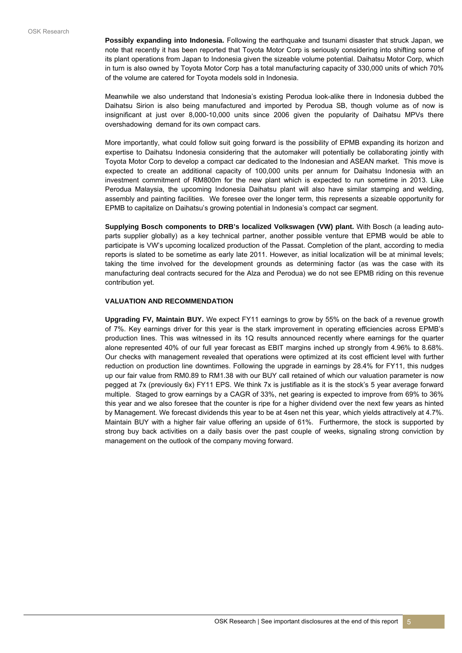**Possibly expanding into Indonesia.** Following the earthquake and tsunami disaster that struck Japan, we note that recently it has been reported that Toyota Motor Corp is seriously considering into shifting some of its plant operations from Japan to Indonesia given the sizeable volume potential. Daihatsu Motor Corp, which in turn is also owned by Toyota Motor Corp has a total manufacturing capacity of 330,000 units of which 70% of the volume are catered for Toyota models sold in Indonesia.

Meanwhile we also understand that Indonesia's existing Perodua look-alike there in Indonesia dubbed the Daihatsu Sirion is also being manufactured and imported by Perodua SB, though volume as of now is insignificant at just over 8,000-10,000 units since 2006 given the popularity of Daihatsu MPVs there overshadowing demand for its own compact cars.

More importantly, what could follow suit going forward is the possibility of EPMB expanding its horizon and expertise to Daihatsu Indonesia considering that the automaker will potentially be collaborating jointly with Toyota Motor Corp to develop a compact car dedicated to the Indonesian and ASEAN market. This move is expected to create an additional capacity of 100,000 units per annum for Daihatsu Indonesia with an investment commitment of RM800m for the new plant which is expected to run sometime in 2013. Like Perodua Malaysia, the upcoming Indonesia Daihatsu plant will also have similar stamping and welding, assembly and painting facilities. We foresee over the longer term, this represents a sizeable opportunity for EPMB to capitalize on Daihatsu's growing potential in Indonesia's compact car segment.

**Supplying Bosch components to DRB's localized Volkswagen (VW) plant.** With Bosch (a leading autoparts supplier globally) as a key technical partner, another possible venture that EPMB would be able to participate is VW's upcoming localized production of the Passat. Completion of the plant, according to media reports is slated to be sometime as early late 2011. However, as initial localization will be at minimal levels; taking the time involved for the development grounds as determining factor (as was the case with its manufacturing deal contracts secured for the Alza and Perodua) we do not see EPMB riding on this revenue contribution yet.

#### **VALUATION AND RECOMMENDATION**

**Upgrading FV, Maintain BUY.** We expect FY11 earnings to grow by 55% on the back of a revenue growth of 7%. Key earnings driver for this year is the stark improvement in operating efficiencies across EPMB's production lines. This was witnessed in its 1Q results announced recently where earnings for the quarter alone represented 40% of our full year forecast as EBIT margins inched up strongly from 4.96% to 8.68%. Our checks with management revealed that operations were optimized at its cost efficient level with further reduction on production line downtimes. Following the upgrade in earnings by 28.4% for FY11, this nudges up our fair value from RM0.89 to RM1.38 with our BUY call retained of which our valuation parameter is now pegged at 7x (previously 6x) FY11 EPS. We think 7x is justifiable as it is the stock's 5 year average forward multiple. Staged to grow earnings by a CAGR of 33%, net gearing is expected to improve from 69% to 36% this year and we also foresee that the counter is ripe for a higher dividend over the next few years as hinted by Management. We forecast dividends this year to be at 4sen net this year, which yields attractively at 4.7%. Maintain BUY with a higher fair value offering an upside of 61%. Furthermore, the stock is supported by strong buy back activities on a daily basis over the past couple of weeks, signaling strong conviction by management on the outlook of the company moving forward.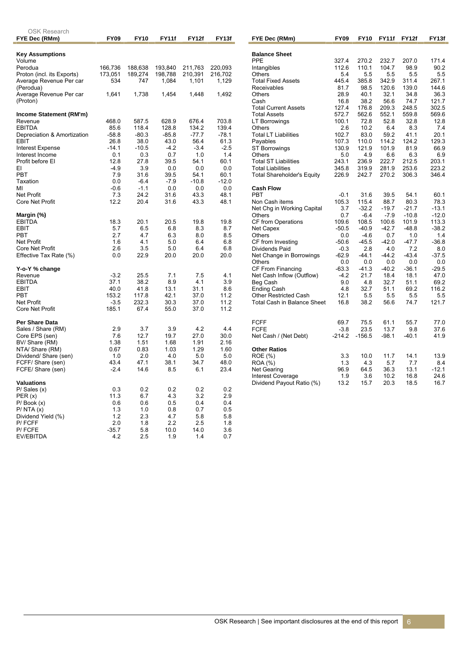| <b>OSK Research</b>                   |                    |                    |                    |                    |                    |
|---------------------------------------|--------------------|--------------------|--------------------|--------------------|--------------------|
| FYE Dec (RMm)                         | <b>FY09</b>        | <b>FY10</b>        | <b>FY11f</b>       | <b>FY12f</b>       | FY13f              |
| <b>Key Assumptions</b>                |                    |                    |                    |                    |                    |
| Volume                                |                    |                    |                    |                    |                    |
| Perodua<br>Proton (incl. its Exports) | 166,736<br>173,051 | 188,638<br>189,274 | 193,840<br>198,788 | 211,763<br>210,391 | 220,093<br>216,702 |
| Average Revenue Per car               | 534                | 747                | 1,084              | 1,101              | 1,129              |
| (Perodua)                             |                    |                    |                    |                    |                    |
| Average Revenue Per car               | 1,641              | 1,738              | 1,454              | 1,448              | 1,492              |
| (Proton)                              |                    |                    |                    |                    |                    |
|                                       |                    |                    |                    |                    |                    |
| Income Statement (RM'm)               |                    |                    |                    |                    |                    |
| Revenue                               | 468.0              | 587.5              | 628.9              | 676.4              | 703.8              |
| <b>EBITDA</b>                         | 85.6               | 118.4              | 128.8              | 134.2              | 139.4              |
| Depreciation & Amortization           | $-58.8$            | $-80.3$            | $-85.8$            | $-77.7$            | $-78.1$            |
| EBIT                                  | 26.8               | 38.0               | 43.0               | 56.4               | 61.3               |
| Interest Expense<br>Interest Income   | $-14.1$<br>0.1     | $-10.5$<br>0.3     | $-4.2$<br>0.7      | $-3.4$<br>1.0      | $-2.5$<br>1.4      |
| Profit before EI                      | 12.8               | 27.8               | 39.5               | 54.1               | 60.1               |
| EI                                    | $-4.9$             | 3.9                | 0.0                | 0.0                | 0.0                |
| <b>PBT</b>                            | 7.9                | 31.6               | 39.5               | 54.1               | 60.1               |
| Taxation                              | 0.0                | $-6.4$             | $-7.9$             | $-10.8$            | $-12.0$            |
| МI                                    | $-0.6$             | $-1.1$             | 0.0                | 0.0                | 0.0                |
| <b>Net Profit</b>                     | 7.3                | 24.2               | 31.6               | 43.3               | 48.1               |
| Core Net Profit                       | 12.2               | 20.4               | 31.6               | 43.3               | 48.1               |
|                                       |                    |                    |                    |                    |                    |
| Margin (%)<br><b>EBITDA</b>           |                    |                    |                    |                    |                    |
| <b>EBIT</b>                           | 18.3<br>5.7        | 20.1<br>6.5        | 20.5<br>6.8        | 19.8<br>8.3        | 19.8<br>8.7        |
| <b>PBT</b>                            | 2.7                | 4.7                | 6.3                | 8.0                | 8.5                |
| <b>Net Profit</b>                     | 1.6                | 4.1                | 5.0                | 6.4                | 6.8                |
| <b>Core Net Profit</b>                | 2.6                | 3.5                | 5.0                | 6.4                | 6.8                |
| Effective Tax Rate (%)                | 0.0                | 22.9               | 20.0               | 20.0               | 20.0               |
|                                       |                    |                    |                    |                    |                    |
| Y-o-Y % change                        |                    |                    |                    |                    |                    |
| Revenue                               | $-3.2$             | 25.5<br>38.2       | 7.1<br>8.9         | 7.5<br>4.1         | 4.1<br>3.9         |
| <b>EBITDA</b><br><b>EBIT</b>          | 37.1<br>40.0       | 41.8               | 13.1               | 31.1               | 8.6                |
| <b>PBT</b>                            | 153.2              | 117.8              | 42.1               | 37.0               | 11.2               |
| <b>Net Profit</b>                     | $-3.5$             | 232.3              | 30.3               | 37.0               | 11.2               |
| Core Net Profit                       | 185.1              | 67.4               | 55.0               | 37.0               | 11.2               |
|                                       |                    |                    |                    |                    |                    |
| Per Share Data                        |                    |                    |                    |                    |                    |
| Sales / Share (RM)                    | 2.9                | 3.7                | 3.9                | 4.2                | 4.4                |
| Core EPS (sen)<br>BV/ Share (RM)      | 7.6<br>1.38        | 12.7<br>1.51       | 19.7<br>1.68       | 27.0<br>1.91       | 30.0<br>2.16       |
| NTA/ Share (RM)                       | 0.67               | 0.83               | 1.03               | 1.29               | 1.60               |
| Dividend/ Share (sen)                 | 1.0                | 2.0                | 4.0                | 5.0                | 5.0                |
| FCFF/ Share (sen)                     | 43.4               | 47.1               | 38.1               | 34.7               | 48.0               |
| FCFE/Share (sen)                      | $-2.4$             | 14.6               | 8.5                | 6.1                | 23.4               |
|                                       |                    |                    |                    |                    |                    |
| Valuations                            |                    |                    |                    |                    |                    |
| $P/$ Sales $(x)$<br>PER (x)           | 0.3<br>11.3        | 0.2<br>6.7         | 0.2<br>4.3         | 0.2<br>3.2         | 0.2<br>2.9         |
| $P/$ Book $(x)$                       | 0.6                | 0.6                | 0.5                | 0.4                | 0.4                |
| $P/$ NTA $(x)$                        | 1.3                | 1.0                | 0.8                | 0.7                | 0.5                |
| Dividend Yield (%)                    | 1.2                | 2.3                | 4.7                | 5.8                | 5.8                |
| P/FCFF                                | 2.0                | 1.8                | 2.2                | 2.5                | 1.8                |
| P/FCFE                                | $-35.7$            | 5.8                | 10.0               | 14.0               | 3.6                |
| EV/EBITDA                             | 4.2                | 2.5                | 1.9                | 1.4                | 0.7                |

| FYE Dec (RMm)                                      | <b>FY09</b>        | <b>FY10</b>       | FY11f          | <b>FY12f</b>   | FY13f          |
|----------------------------------------------------|--------------------|-------------------|----------------|----------------|----------------|
|                                                    |                    |                   |                |                |                |
| <b>Balance Sheet</b><br><b>PPE</b>                 | 327.4              | 270.2             | 232.7          | 207.0          | 171.4          |
| Intangibles                                        | 112.6              | 110.1             | 104.7          | 98.9           | 90.2           |
| Others                                             | 5.4                | 5.5               | 5.5            | 5.5            | 5.5            |
| <b>Total Fixed Assets</b>                          | 445.4              | 385.8             | 342.9          | 311.4          | 267.1          |
| Receivables                                        | 81.7               | 98.5              | 120.6          | 139.0          | 144.6          |
| Others                                             | 28.9               | 40.1              | 32.1           | 34.8           | 36.3           |
| Cash                                               | 16.8               | 38.2              | 56.6           | 74.7           | 121.7          |
| <b>Total Current Assets</b><br><b>Total Assets</b> | 127.4<br>572.7     | 176.8<br>562.6    | 209.3<br>552.1 | 248.5<br>559.8 | 302.5<br>569.6 |
| <b>LT Borrowings</b>                               | 100.1              | 72.8              | 52.8           | 32.8           | 12.8           |
| Others                                             | 2.6                | 10.2              | 6.4            | 8.3            | 7.4            |
| <b>Total LT Liabilities</b>                        | 102.7              | 83.0              | 59.2           | 41.1           | 20.1           |
| Payables                                           | 107.3              | 110.0             | 114.2          | 124.2          | 129.3          |
| <b>ST Borrowings</b>                               | 130.9              | 121.9             | 101.9          | 81.9           | 66.9           |
| Others                                             | 5.0                | 4.9               | 6.6            | 6.3            | 6.9            |
| <b>Total ST Liabilities</b>                        | 243.1              | 236.9             | 222.7          | 212.5          | 203.1          |
| <b>Total Liabilities</b>                           | 345.8              | 319.9             | 281.9          | 253.6          | 223.2          |
| <b>Total Shareholder's Equity</b>                  | 226.9              | 242.7             | 270.2          | 306.3          | 346.4          |
| <b>Cash Flow</b>                                   |                    |                   |                |                |                |
| <b>PBT</b>                                         | $-0.1$             | 31.6              | 39.5           | 54.1           | 60.1           |
| Non Cash items                                     | 105.3              | 115.4             | 88.7           | 80.3           | 78.3           |
| Net Chg in Working Capital                         | 3.7                | $-32.2$           | $-19.7$        | $-21.7$        | $-13.1$        |
| Others                                             | 0.7                | $-6.4$            | $-7.9$         | $-10.8$        | $-12.0$        |
| CF from Operations                                 | 109.6              | 108.5             | 100.6          | 101.9          | 113.3          |
| Net Capex<br>Others                                | $-50.5$            | $-40.9$<br>$-4.6$ | $-42.7$<br>0.7 | $-48.8$<br>1.0 | $-38.2$<br>1.4 |
| CF from Investing                                  | 0.0<br>$-50.6$     | $-45.5$           | $-42.0$        | $-47.7$        | $-36.8$        |
| Dividends Paid                                     | $-0.3$             | 2.8               | 4.0            | 7.2            | 8.0            |
| Net Change in Borrowings                           | $-62.9$            | $-44.1$           | $-44.2$        | $-43.4$        | $-37.5$        |
| Others                                             | 0.0                | 0.0               | 0.0            | 0.0            | 0.0            |
| CF From Financing                                  | $-63.3$            | $-41.3$           | $-40.2$        | $-36.1$        | $-29.5$        |
| Net Cash Inflow (Outflow)                          | $-4.2$             | 21.7              | 18.4           | 18.1           | 47.0           |
| Beg Cash                                           | 9.0                | 4.8               | 32.7           | 51.1           | 69.2           |
| <b>Ending Cash</b><br><b>Other Restricted Cash</b> | 4.8                | 32.7              | 51.1           | 69.2           | 116.2          |
| <b>Total Cash in Balance Sheet</b>                 | 12.1<br>16.8       | 5.5<br>38.2       | 5.5<br>56.6    | 5.5<br>74.7    | 5.5<br>121.7   |
|                                                    |                    |                   |                |                |                |
|                                                    |                    |                   |                |                |                |
| <b>FCFF</b><br><b>FCFE</b>                         | 69.7               | 75.5<br>23.5      | 61.1<br>13.7   | 55.7<br>9.8    | 77.0           |
| Net Cash / (Net Debt)                              | $-3.8$<br>$-214.2$ | $-156.5$          | $-98.1$        | $-40.1$        | 37.6<br>41.9   |
|                                                    |                    |                   |                |                |                |
| <b>Other Ratios</b>                                |                    |                   |                |                |                |
| ROE (%)                                            | 3.3                | 10.0              | 11.7           | 14.1           | 13.9           |
| ROA (%)                                            | 1.3                | 4.3               | 5.7            | 7.7            | 8.4            |
| Net Gearing                                        | 96.9               | 64.5              | 36.3           | 13.1           | $-12.1$        |
| Interest Coverage<br>Dividend Payout Ratio (%)     | 1.9<br>13.2        | 3.6<br>15.7       | 10.2<br>20.3   | 16.8<br>18.5   | 24.6<br>16.7   |
|                                                    |                    |                   |                |                |                |